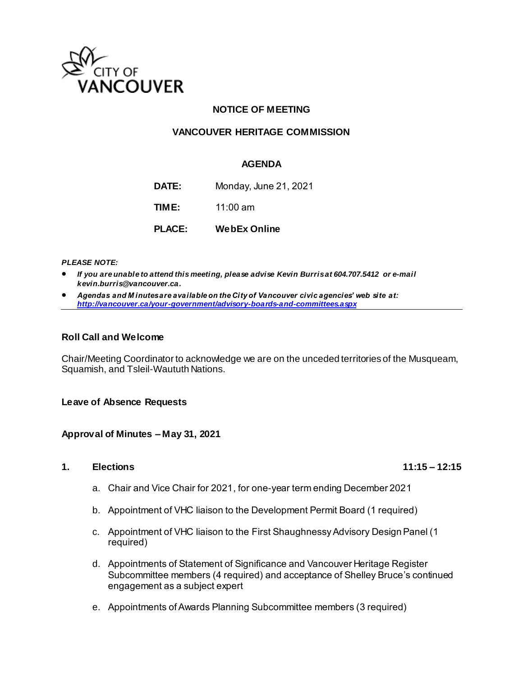

# **NOTICE OF MEETING**

# **VANCOUVER HERITAGE COMMISSION**

## **AGENDA**

**DATE:** Monday, June 21, 2021

**TIME:** 11:00 am

**PLACE: WebEx Online**

*PLEASE NOTE:*

- *If you are unable to attend this meeting, please advise Kevin Burrisat 604.707.5412 or e-mail kevin.burris@vancouver.ca.*
- *Agendas and M inutes are available on the City of Vancouver civic agencies' web site at: <http://vancouver.ca/your-government/advisory-boards-and-committees.aspx>*

#### **Roll Call and Welcome**

Chair/Meeting Coordinator to acknowledge we are on the unceded territories of the Musqueam, Squamish, and Tsleil-Waututh Nations.

### **Leave of Absence Requests**

### **Approval of Minutes – May 31, 2021**

#### **1. Elections 11:15 – 12:15**

- a. Chair and Vice Chair for 2021, for one-year term ending December 2021
- b. Appointment of VHC liaison to the Development Permit Board (1 required)
- c. Appointment of VHC liaison to the First Shaughnessy Advisory Design Panel (1 required)
- d. Appointments of Statement of Significance and Vancouver Heritage Register Subcommittee members (4 required) and acceptance of Shelley Bruce's continued engagement as a subject expert
- e. Appointments of Awards Planning Subcommittee members (3 required)